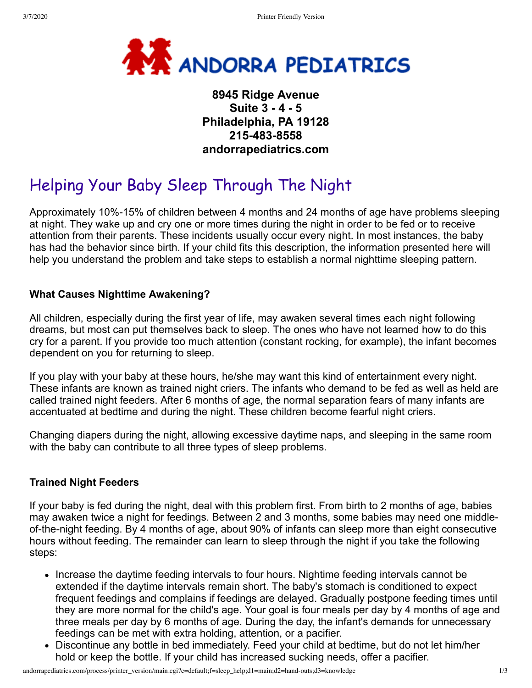

# **8945 Ridge Avenue Suite 3 - 4 - 5 Philadelphia, PA 19128 215-483-8558 andorrapediatrics.com**

# Helping Your Baby Sleep Through The Night

Approximately 10%-15% of children between 4 months and 24 months of age have problems sleeping at night. They wake up and cry one or more times during the night in order to be fed or to receive attention from their parents. These incidents usually occur every night. In most instances, the baby has had the behavior since birth. If your child fits this description, the information presented here will help you understand the problem and take steps to establish a normal nighttime sleeping pattern.

#### **What Causes Nighttime Awakening?**

All children, especially during the first year of life, may awaken several times each night following dreams, but most can put themselves back to sleep. The ones who have not learned how to do this cry for a parent. If you provide too much attention (constant rocking, for example), the infant becomes dependent on you for returning to sleep.

If you play with your baby at these hours, he/she may want this kind of entertainment every night. These infants are known as trained night criers. The infants who demand to be fed as well as held are called trained night feeders. After 6 months of age, the normal separation fears of many infants are accentuated at bedtime and during the night. These children become fearful night criers.

Changing diapers during the night, allowing excessive daytime naps, and sleeping in the same room with the baby can contribute to all three types of sleep problems.

#### **Trained Night Feeders**

If your baby is fed during the night, deal with this problem first. From birth to 2 months of age, babies may awaken twice a night for feedings. Between 2 and 3 months, some babies may need one middleof-the-night feeding. By 4 months of age, about 90% of infants can sleep more than eight consecutive hours without feeding. The remainder can learn to sleep through the night if you take the following steps:

- Increase the daytime feeding intervals to four hours. Nightime feeding intervals cannot be extended if the daytime intervals remain short. The baby's stomach is conditioned to expect frequent feedings and complains if feedings are delayed. Gradually postpone feeding times until they are more normal for the child's age. Your goal is four meals per day by 4 months of age and three meals per day by 6 months of age. During the day, the infant's demands for unnecessary feedings can be met with extra holding, attention, or a pacifier.
- Discontinue any bottle in bed immediately. Feed your child at bedtime, but do not let him/her hold or keep the bottle. If your child has increased sucking needs, offer a pacifier.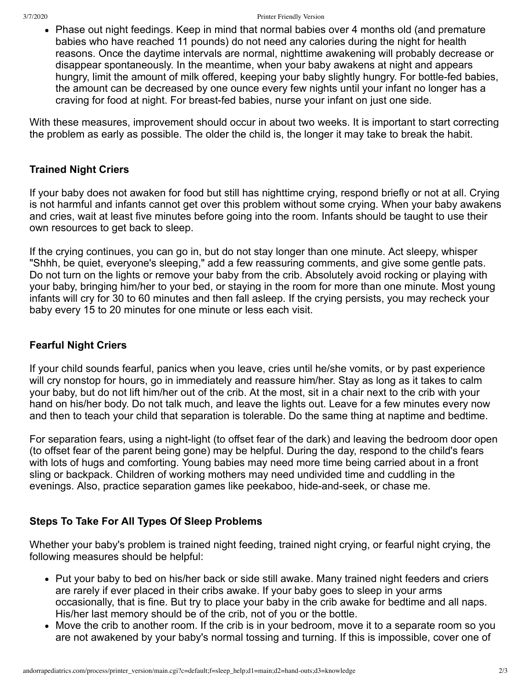• Phase out night feedings. Keep in mind that normal babies over 4 months old (and premature babies who have reached 11 pounds) do not need any calories during the night for health reasons. Once the daytime intervals are normal, nighttime awakening will probably decrease or disappear spontaneously. In the meantime, when your baby awakens at night and appears hungry, limit the amount of milk offered, keeping your baby slightly hungry. For bottle-fed babies, the amount can be decreased by one ounce every few nights until your infant no longer has a craving for food at night. For breast-fed babies, nurse your infant on just one side.

With these measures, improvement should occur in about two weeks. It is important to start correcting the problem as early as possible. The older the child is, the longer it may take to break the habit.

#### **Trained Night Criers**

If your baby does not awaken for food but still has nighttime crying, respond briefly or not at all. Crying is not harmful and infants cannot get over this problem without some crying. When your baby awakens and cries, wait at least five minutes before going into the room. Infants should be taught to use their own resources to get back to sleep.

If the crying continues, you can go in, but do not stay longer than one minute. Act sleepy, whisper "Shhh, be quiet, everyone's sleeping," add a few reassuring comments, and give some gentle pats. Do not turn on the lights or remove your baby from the crib. Absolutely avoid rocking or playing with your baby, bringing him/her to your bed, or staying in the room for more than one minute. Most young infants will cry for 30 to 60 minutes and then fall asleep. If the crying persists, you may recheck your baby every 15 to 20 minutes for one minute or less each visit.

### **Fearful Night Criers**

If your child sounds fearful, panics when you leave, cries until he/she vomits, or by past experience will cry nonstop for hours, go in immediately and reassure him/her. Stay as long as it takes to calm your baby, but do not lift him/her out of the crib. At the most, sit in a chair next to the crib with your hand on his/her body. Do not talk much, and leave the lights out. Leave for a few minutes every now and then to teach your child that separation is tolerable. Do the same thing at naptime and bedtime.

For separation fears, using a night-light (to offset fear of the dark) and leaving the bedroom door open (to offset fear of the parent being gone) may be helpful. During the day, respond to the child's fears with lots of hugs and comforting. Young babies may need more time being carried about in a front sling or backpack. Children of working mothers may need undivided time and cuddling in the evenings. Also, practice separation games like peekaboo, hide-and-seek, or chase me.

## **Steps To Take For All Types Of Sleep Problems**

Whether your baby's problem is trained night feeding, trained night crying, or fearful night crying, the following measures should be helpful:

- Put your baby to bed on his/her back or side still awake. Many trained night feeders and criers are rarely if ever placed in their cribs awake. If your baby goes to sleep in your arms occasionally, that is fine. But try to place your baby in the crib awake for bedtime and all naps. His/her last memory should be of the crib, not of you or the bottle.
- Move the crib to another room. If the crib is in your bedroom, move it to a separate room so you are not awakened by your baby's normal tossing and turning. If this is impossible, cover one of